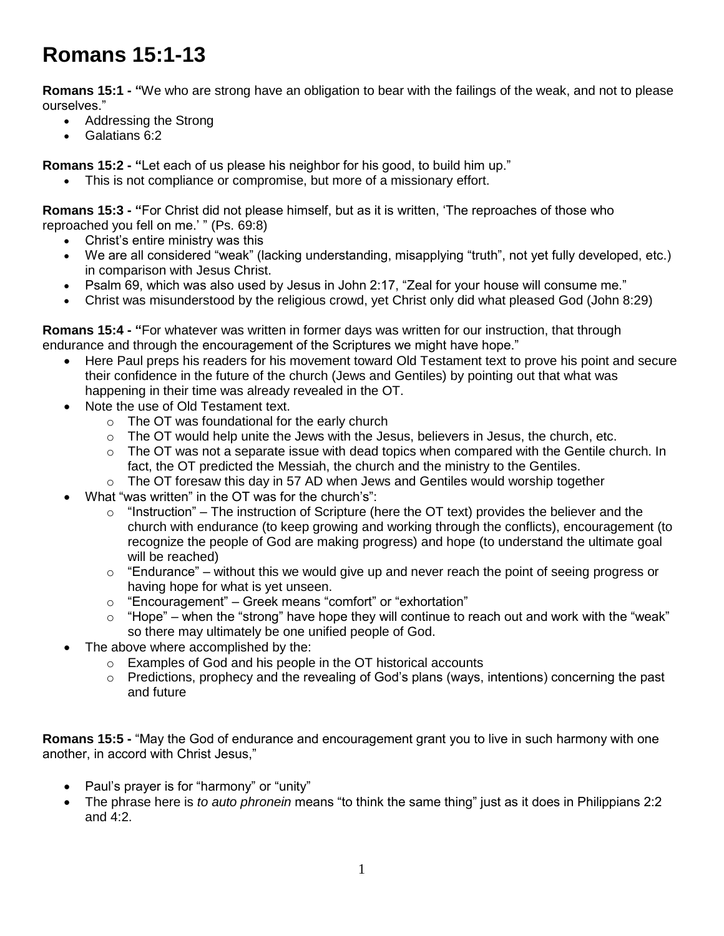## **Romans 15:1-13**

**Romans 15:1 - "**We who are strong have an obligation to bear with the failings of the weak, and not to please ourselves."

- Addressing the Strong
- Galatians 6:2

**Romans 15:2 - "**Let each of us please his neighbor for his good, to build him up."

This is not compliance or compromise, but more of a missionary effort.

**Romans 15:3 - "**For Christ did not please himself, but as it is written, 'The reproaches of those who reproached you fell on me.' " (Ps. 69:8)

- Christ's entire ministry was this
- We are all considered "weak" (lacking understanding, misapplying "truth", not yet fully developed, etc.) in comparison with Jesus Christ.
- Psalm 69, which was also used by Jesus in John 2:17, "Zeal for your house will consume me."
- Christ was misunderstood by the religious crowd, yet Christ only did what pleased God (John 8:29)

**Romans 15:4 - "**For whatever was written in former days was written for our instruction, that through endurance and through the encouragement of the Scriptures we might have hope."

- Here Paul preps his readers for his movement toward Old Testament text to prove his point and secure their confidence in the future of the church (Jews and Gentiles) by pointing out that what was happening in their time was already revealed in the OT.
- Note the use of Old Testament text.
	- o The OT was foundational for the early church
	- o The OT would help unite the Jews with the Jesus, believers in Jesus, the church, etc.
	- $\circ$  The OT was not a separate issue with dead topics when compared with the Gentile church. In fact, the OT predicted the Messiah, the church and the ministry to the Gentiles.
	- o The OT foresaw this day in 57 AD when Jews and Gentiles would worship together
- What "was written" in the OT was for the church's":
	- $\circ$  "Instruction" The instruction of Scripture (here the OT text) provides the believer and the church with endurance (to keep growing and working through the conflicts), encouragement (to recognize the people of God are making progress) and hope (to understand the ultimate goal will be reached)
	- $\circ$  "Endurance" without this we would give up and never reach the point of seeing progress or having hope for what is yet unseen.
	- o "Encouragement" Greek means "comfort" or "exhortation"
	- $\circ$  "Hope" when the "strong" have hope they will continue to reach out and work with the "weak" so there may ultimately be one unified people of God.
- The above where accomplished by the:
	- o Examples of God and his people in the OT historical accounts
	- $\circ$  Predictions, prophecy and the revealing of God's plans (ways, intentions) concerning the past and future

**Romans 15:5 -** "May the God of endurance and encouragement grant you to live in such harmony with one another, in accord with Christ Jesus,"

- Paul's prayer is for "harmony" or "unity"
- The phrase here is *to auto phronein* means "to think the same thing" just as it does in Philippians 2:2 and 4:2.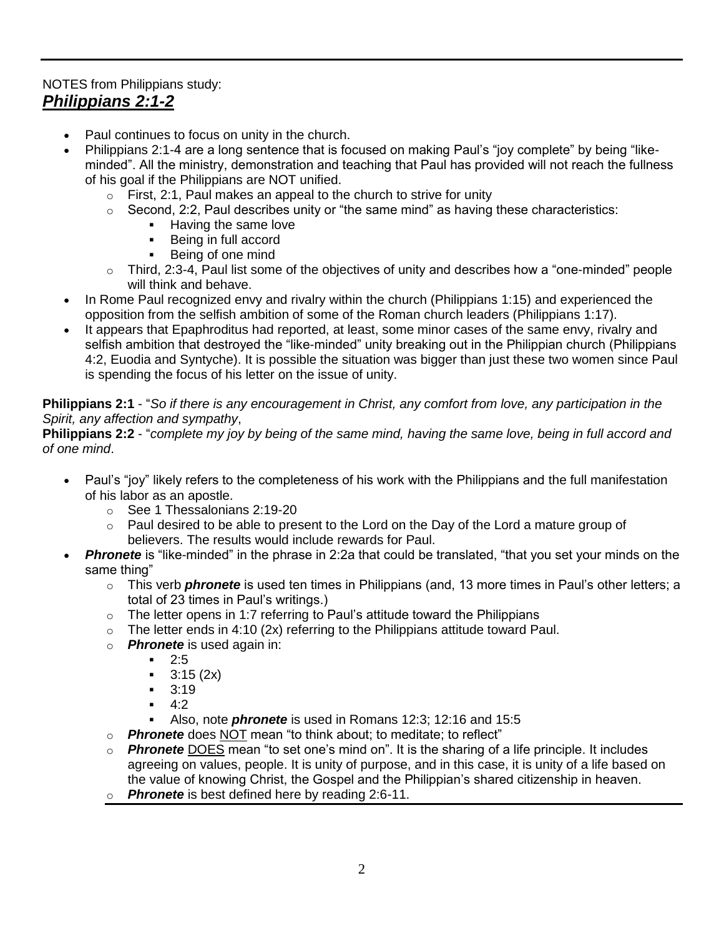## NOTES from Philippians study: *Philippians 2:1-2*

- Paul continues to focus on unity in the church.
- Philippians 2:1-4 are a long sentence that is focused on making Paul's "joy complete" by being "likeminded". All the ministry, demonstration and teaching that Paul has provided will not reach the fullness of his goal if the Philippians are NOT unified.
	- $\circ$  First, 2:1, Paul makes an appeal to the church to strive for unity
	- $\circ$  Second, 2:2, Paul describes unity or "the same mind" as having these characteristics:
		- Having the same love
		- **Being in full accord**
		- Being of one mind
	- $\circ$  Third, 2:3-4, Paul list some of the objectives of unity and describes how a "one-minded" people will think and behave.
- In Rome Paul recognized envy and rivalry within the church (Philippians 1:15) and experienced the opposition from the selfish ambition of some of the Roman church leaders (Philippians 1:17).
- It appears that Epaphroditus had reported, at least, some minor cases of the same envy, rivalry and selfish ambition that destroyed the "like-minded" unity breaking out in the Philippian church (Philippians 4:2, Euodia and Syntyche). It is possible the situation was bigger than just these two women since Paul is spending the focus of his letter on the issue of unity.

## **Philippians 2:1** - "*So if there is any encouragement in Christ, any comfort from love, any participation in the Spirit, any affection and sympathy*,

**Philippians 2:2** - "*complete my joy by being of the same mind, having the same love, being in full accord and of one mind*.

- Paul's "joy" likely refers to the completeness of his work with the Philippians and the full manifestation of his labor as an apostle.
	- o See 1 Thessalonians 2:19-20
	- $\circ$  Paul desired to be able to present to the Lord on the Day of the Lord a mature group of believers. The results would include rewards for Paul.
- **Phronete** is "like-minded" in the phrase in 2:2a that could be translated, "that you set your minds on the same thing"
	- o This verb *phronete* is used ten times in Philippians (and, 13 more times in Paul's other letters; a total of 23 times in Paul's writings.)
	- $\circ$  The letter opens in 1:7 referring to Paul's attitude toward the Philippians
	- $\circ$  The letter ends in 4:10 (2x) referring to the Philippians attitude toward Paul.
	- o *Phronete* is used again in:
		- $-2.5$
		- $-3:15(2x)$
		- $-3:19$
		- $-4:2$
		- Also, note *phronete* is used in Romans 12:3; 12:16 and 15:5
	- o *Phronete* does NOT mean "to think about; to meditate; to reflect"
	- o *Phronete* DOES mean "to set one's mind on". It is the sharing of a life principle. It includes agreeing on values, people. It is unity of purpose, and in this case, it is unity of a life based on the value of knowing Christ, the Gospel and the Philippian's shared citizenship in heaven.
	- o *Phronete* is best defined here by reading 2:6-11.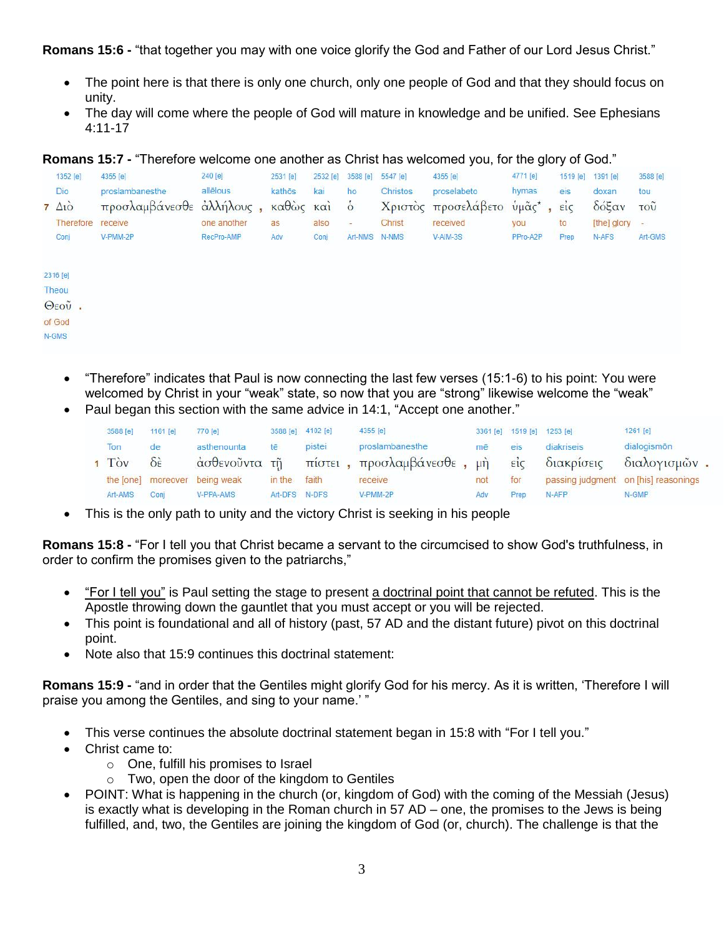**Romans 15:6 -** "that together you may with one voice glorify the God and Father of our Lord Jesus Christ."

- The point here is that there is only one church, only one people of God and that they should focus on unity.
- The day will come where the people of God will mature in knowledge and be unified. See Ephesians 4:11-17

**Romans 15:7 -** "Therefore welcome one another as Christ has welcomed you, for the glory of God."

| 1352 [e] |                      | 4355 [e]                 | 240 [e]     | 2531 [e]    | 2532 [e] | 3588 [e]                 | 5547 [e]        | 4355 [e]                       | 4771 [e] | 1519 [e] | 1391 $[e]$  | 3588 [e]        |
|----------|----------------------|--------------------------|-------------|-------------|----------|--------------------------|-----------------|--------------------------------|----------|----------|-------------|-----------------|
|          | Dio                  | proslambanesthe          | allēlous    | kathōs      | kai      | ho                       | <b>Christos</b> | proselabeto                    | hymas    | eis      | doxan       | tou             |
|          | $7 \Delta i\ddot{o}$ | προσλαμβάνεσθε άλλήλους, |             | καθώς και ό |          |                          |                 | Χριστός προσελάβετο ύμᾶς*, είς |          |          | δόξαν       | τοῦ             |
|          | Therefore            | receive                  | one another | as          | also     | $\overline{\phantom{a}}$ | Christ          | received                       | you      | to       | [the] glory | $\equiv$ $\geq$ |
|          | Conj                 | V-PMM-2P                 | RecPro-AMP  | Adv         | Conj     | Art-NMS N-NMS            |                 | V-AIM-3S                       | PPro-A2P | Prep     | N-AFS       | Art-GMS         |
|          |                      |                          |             |             |          |                          |                 |                                |          |          |             |                 |
|          | 2316 [e]             |                          |             |             |          |                          |                 |                                |          |          |             |                 |
|          | Theou                |                          |             |             |          |                          |                 |                                |          |          |             |                 |
|          | $\Theta$ εοῦ.        |                          |             |             |          |                          |                 |                                |          |          |             |                 |
|          | of God               |                          |             |             |          |                          |                 |                                |          |          |             |                 |
|          | N-GMS                |                          |             |             |          |                          |                 |                                |          |          |             |                 |

- "Therefore" indicates that Paul is now connecting the last few verses (15:1-6) to his point: You were welcomed by Christ in your "weak" state, so now that you are "strong" likewise welcome the "weak"
- Paul began this section with the same advice in 14:1, "Accept one another."

|  | 3588 Tel | 1161 [e]                | 770 [e]                       |               | 3588 [e] 4102 [e] | 4355 [e]                   |            | 3361 [e] 1519 [e] 1253 [e] |            | 1261 [e]                             |  |
|--|----------|-------------------------|-------------------------------|---------------|-------------------|----------------------------|------------|----------------------------|------------|--------------------------------------|--|
|  | Ton      | <sub>de</sub>           | asthenounta                   | tē            | pistei            | proslambanesthe            | mē         | eis                        | diakriseis | dialogismon                          |  |
|  | $1$ Toy  | $\delta \dot{\epsilon}$ | άσθενοῦντα τῆ                 |               |                   | πίστει, προσλαμβάνεσθε, μή |            | $\vec{\epsilon}$           | διακρίσεις | διαλογισμών.                         |  |
|  |          |                         | the [one] moreover being weak | in the        | faith             | receive                    | for<br>not |                            |            | passing judgment on [his] reasonings |  |
|  | Art-AMS  | Coni                    | V-PPA-AMS                     | Art-DFS N-DFS |                   | V-PMM-2P                   | Adv        | Prep                       | N-AFP      | N-GMP                                |  |

This is the only path to unity and the victory Christ is seeking in his people

**Romans 15:8 -** "For I tell you that Christ became a servant to the circumcised to show God's truthfulness, in order to confirm the promises given to the patriarchs,"

- "For I tell you" is Paul setting the stage to present a doctrinal point that cannot be refuted. This is the Apostle throwing down the gauntlet that you must accept or you will be rejected.
- This point is foundational and all of history (past, 57 AD and the distant future) pivot on this doctrinal point.
- Note also that 15:9 continues this doctrinal statement:

**Romans 15:9 -** "and in order that the Gentiles might glorify God for his mercy. As it is written, 'Therefore I will praise you among the Gentiles, and sing to your name.' "

- This verse continues the absolute doctrinal statement began in 15:8 with "For I tell you."
- Christ came to:
	- o One, fulfill his promises to Israel
	- o Two, open the door of the kingdom to Gentiles
- POINT: What is happening in the church (or, kingdom of God) with the coming of the Messiah (Jesus) is exactly what is developing in the Roman church in 57 AD – one, the promises to the Jews is being fulfilled, and, two, the Gentiles are joining the kingdom of God (or, church). The challenge is that the